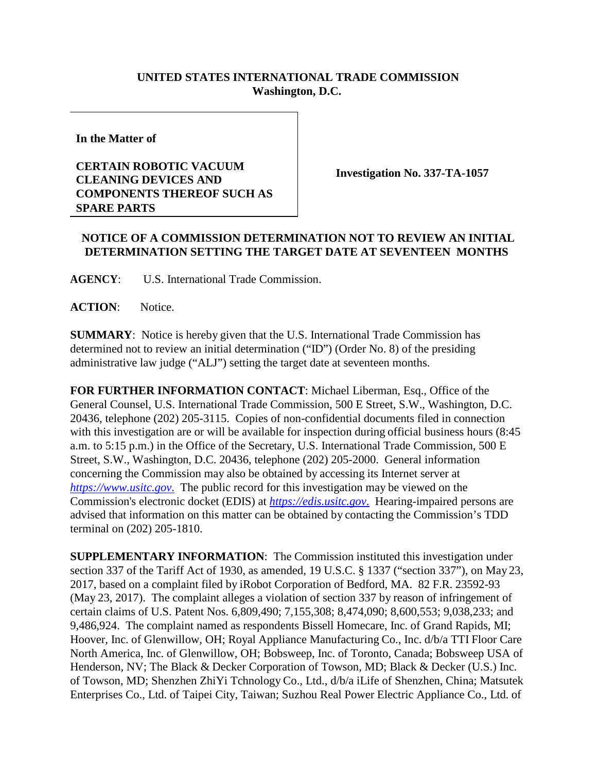## **UNITED STATES INTERNATIONAL TRADE COMMISSION Washington, D.C.**

**In the Matter of**

## **CERTAIN ROBOTIC VACUUM CLEANING DEVICES AND COMPONENTS THEREOF SUCH AS SPARE PARTS**

**Investigation No. 337-TA-1057**

## **NOTICE OF A COMMISSION DETERMINATION NOT TO REVIEW AN INITIAL DETERMINATION SETTING THE TARGET DATE AT SEVENTEEN MONTHS**

**AGENCY**: U.S. International Trade Commission.

**ACTION**: Notice.

**SUMMARY**: Notice is hereby given that the U.S. International Trade Commission has determined not to review an initial determination ("ID") (Order No. 8) of the presiding administrative law judge ("ALJ") setting the target date at seventeen months.

**FOR FURTHER INFORMATION CONTACT**: Michael Liberman, Esq., Office of the General Counsel, U.S. International Trade Commission, 500 E Street, S.W., Washington, D.C. 20436, telephone (202) 205-3115. Copies of non-confidential documents filed in connection with this investigation are or will be available for inspection during official business hours (8:45 a.m. to 5:15 p.m.) in the Office of the Secretary, U.S. International Trade Commission, 500 E Street, S.W., Washington, D.C. 20436, telephone (202) 205-2000. General information concerning the Commission may also be obtained by accessing its Internet server at *[https://www.usitc.gov](https://www.usitc.gov./)*. The public record for this investigation may be viewed on the Commission's electronic docket (EDIS) at *[https://edis.usitc.gov](https://edis.usitc.gov./)*. Hearing-impaired persons are advised that information on this matter can be obtained by contacting the Commission's TDD terminal on (202) 205-1810.

**SUPPLEMENTARY INFORMATION**: The Commission instituted this investigation under section 337 of the Tariff Act of 1930, as amended, 19 U.S.C. § 1337 ("section 337"), on May 23, 2017, based on a complaint filed by iRobot Corporation of Bedford, MA. 82 F.R. 23592-93 (May 23, 2017). The complaint alleges a violation of section 337 by reason of infringement of certain claims of U.S. Patent Nos. 6,809,490; 7,155,308; 8,474,090; 8,600,553; 9,038,233; and 9,486,924. The complaint named as respondents Bissell Homecare, Inc. of Grand Rapids, MI; Hoover, Inc. of Glenwillow, OH; Royal Appliance Manufacturing Co., Inc. d/b/a TTI Floor Care North America, Inc. of Glenwillow, OH; Bobsweep, Inc. of Toronto, Canada; Bobsweep USA of Henderson, NV; The Black & Decker Corporation of Towson, MD; Black & Decker (U.S.) Inc. of Towson, MD; Shenzhen ZhiYi Tchnology Co., Ltd., d/b/a iLife of Shenzhen, China; Matsutek Enterprises Co., Ltd. of Taipei City, Taiwan; Suzhou Real Power Electric Appliance Co., Ltd. of